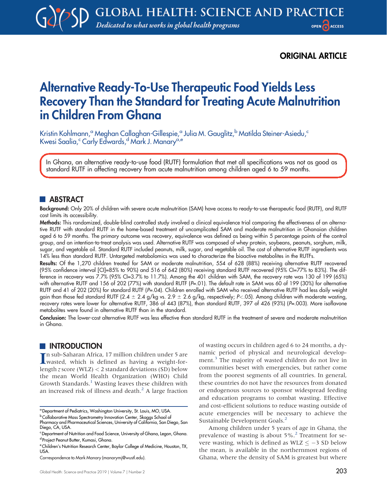## ORIGINAL ARTICLE

# Alternative Ready-To-Use Therapeutic Food Yields Less Recovery Than the Standard for Treating Acute Malnutrition in Children From Ghana

Kristin Kohlmann,<sup>a</sup> Meghan Callaghan-Gillespie,<sup>a</sup> Julia M. Gauglitz,<sup>b</sup> Matilda Steiner-Asiedu,<sup>c</sup> Kwesi Saalia,<sup>c</sup> Carly Edwards,<sup>d</sup> Mark J. Manary<sup>a,e</sup>

In Ghana, an alternative ready-to-use food (RUTF) formulation that met all specifications was not as good as standard RUTF in affecting recovery from acute malnutrition among children aged 6 to 59 months.

## **ABSTRACT**

Background: Only 20% of children with severe acute malnutrition (SAM) have access to ready-to-use therapeutic food (RUTF), and RUTF cost limits its accessibility.

Methods: This randomized, double-blind controlled study involved a clinical equivalence trial comparing the effectiveness of an alternative RUTF with standard RUTF in the home-based treatment of uncomplicated SAM and moderate malnutrition in Ghanaian children aged 6 to 59 months. The primary outcome was recovery, equivalence was defined as being within 5 percentage points of the control group, and an intention-to-treat analysis was used. Alternative RUTF was composed of whey protein, soybeans, peanuts, sorghum, milk, sugar, and vegetable oil. Standard RUTF included peanuts, milk, sugar, and vegetable oil. The cost of alternative RUTF ingredients was 14% less than standard RUTF. Untargeted metabolomics was used to characterize the bioactive metabolites in the RUTFs.

Results: Of the 1,270 children treated for SAM or moderate malnutrition, 554 of 628 (88%) receiving alternative RUTF recovered (95% confidence interval [CI]=85% to 90%) and 516 of 642 (80%) receiving standard RUTF recovered (95% CI=77% to 83%). The difference in recovery was 7.7% (95% CI=3.7% to 11.7%). Among the 401 children with SAM, the recovery rate was 130 of 199 (65%) with alternative RUTF and 156 of 202 (77%) with standard RUTF (P=.01). The default rate in SAM was 60 of 199 (30%) for alternative RUTF and 41 of 202 (20%) for standard RUTF (P=.04). Children enrolled with SAM who received alternative RUTF had less daily weight gain than those fed standard RUTF (2.4  $\pm$  2.4 g/kg vs. 2.9  $\pm$  2.6 g/kg, respectively; P<.05). Among children with moderate wasting, recovery rates were lower for alternative RUTF, 386 of 443 (87%), than standard RUTF, 397 of 426 (93%) (P=.003). More isoflavone metabolites were found in alternative RUTF than in the standard.

Conclusion: The lower-cost alternative RUTF was less effective than standard RUTF in the treatment of severe and moderate malnutrition in Ghana.

## **INTRODUCTION**

In sub-Saharan Africa, 17 million children under 5 are<br>wasted, which is defined as having a weight-forn sub-Saharan Africa, 17 million children under 5 are length z score (WLZ) < 2 standard deviations (SD) below the mean World Health Organization (WHO) Child Growth Standards.<sup>[1](#page-10-0)</sup> Wasting leaves these children with an increased risk of illness and death. $<sup>2</sup>$  $<sup>2</sup>$  $<sup>2</sup>$  A large fraction</sup> of wasting occurs in children aged 6 to 24 months, a dynamic period of physical and neurological develop-ment.<sup>[3](#page-10-2)</sup> The majority of wasted children do not live in communities beset with emergencies, but rather come from the poorest segments of all countries. In general, these countries do not have the resources from donated or endogenous sources to sponsor widespread feeding and education programs to combat wasting. Effective and cost-efficient solutions to reduce wasting outside of acute emergencies will be necessary to achieve the Sustainable Development Goals.<sup>2</sup>

Among children under 5 years of age in Ghana, the prevalence of wasting is about 5%.[2](#page-10-1) Treatment for severe wasting, which is defined as WLZ  $\leq -3$  SD below the mean, is available in the northernmost regions of Ghana, where the density of SAM is greatest but where

<sup>&</sup>lt;sup>a</sup> Department of Pediatrics, Washington University, St. Louis, MO, USA.

**b Collaborative Mass Spectrometry Innovation Center, Skaggs School of** Pharmacy and Pharmaceutical Sciences, University of California, San Diego, San Diego, CA, USA.

<sup>&</sup>lt;sup>c</sup> Department of Nutrition and Food Science, University of Ghana, Legon, Ghana. <sup>d</sup> Project Peanut Butter, Kumasi, Ghana.

e Children's Nutrition Research Center, Baylor College of Medicine, Houston, TX, **USA** 

Correspondence to Mark Manary ([manarymj@wustl.edu](mailto:manarymj@wustl.edu)).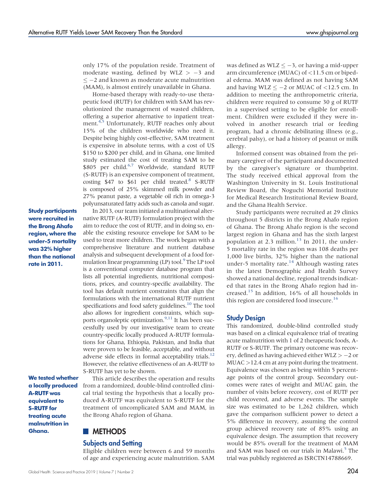only 17% of the population reside. Treatment of moderate wasting, defined by WLZ  $> -3$  and  $\le$  -2 and known as moderate acute malnutrition (MAM), is almost entirely unavailable in Ghana.

Home-based therapy with ready-to-use therapeutic food (RUTF) for children with SAM has revolutionized the management of wasted children, offering a superior alternative to inpatient treat-ment.<sup>[4,](#page-10-3)[5](#page-10-4)</sup> Unfortunately, RUTF reaches only about 15% of the children worldwide who need it. Despite being highly cost-effective, SAM treatment is expensive in absolute terms, with a cost of US \$150 to \$200 per child, and in Ghana, one limited study estimated the cost of treating SAM to be \$805 per child.<sup>6,[7](#page-10-6)</sup> Worldwide, standard RUTF (S-RUTF) is an expensive component of treatment, costing \$47 to \$61 per child treated. $8$  S-RUTF is composed of 25% skimmed milk powder and 27% peanut paste, a vegetable oil rich in omega-3 polyunsaturated fatty acids such as canola and sugar.

Study participants were recruited in the Brong Ahafo region, where the under-5 mortality was 32% higher than the national rate in 2011.

We tested whether a locally produced A-RUTF was equivalent to S-RUTF for treating acute malnutrition in Ghana.

### In 2013, our team initiated a multinational alternative RUTF (A-RUTF) formulation project with the aim to reduce the cost of RUTF, and in doing so, enable the existing resource envelope for SAM to be used to treat more children. The work began with a comprehensive literature and nutrient database analysis and subsequent development of a food formulation linear programming  $(LP)$  tool.<sup>9</sup> The LP tool is a conventional computer database program that lists all potential ingredients, nutritional compositions, prices, and country-specific availability. The tool has default nutrient constraints that align the formulations with the international RUTF nutrient specifications and food safety guidelines. $10$  The tool also allows for ingredient constraints, which sup-ports organoleptic optimization.<sup>9,[11](#page-10-10)</sup> It has been successfully used by our investigative team to create country-specific locally produced A-RUTF formulations for Ghana, Ethiopia, Pakistan, and India that were proven to be feasible, acceptable, and without adverse side effects in formal acceptability trials.<sup>12</sup> However, the relative effectiveness of an A-RUTF to S-RUTF has yet to be shown.

This article describes the operation and results from a randomized, double-blind controlled clinical trial testing the hypothesis that a locally produced A-RUTF was equivalent to S-RUTF for the treatment of uncomplicated SAM and MAM, in the Brong Ahafo region of Ghana.

## **METHODS**

## Subjects and Setting

Eligible children were between 6 and 59 months of age and experiencing acute malnutrition. SAM

was defined as  $WLZ \leq -3$ , or having a mid-upper arm circumference (MUAC) of <11.5 cm or bipedal edema. MAM was defined as not having SAM and having WLZ  $\le$  -2 or MUAC of <12.5 cm. In addition to meeting the anthropometric criteria, children were required to consume 30 g of RUTF in a supervised setting to be eligible for enrollment. Children were excluded if they were involved in another research trial or feeding program, had a chronic debilitating illness (e.g., cerebral palsy), or had a history of peanut or milk allergy.

Informed consent was obtained from the primary caregiver of the participant and documented by the caregiver's signature or thumbprint. The study received ethical approval from the Washington University in St. Louis Institutional Review Board, the Noguchi Memorial Institute for Medical Research Institutional Review Board, and the Ghana Health Service.

Study participants were recruited at 29 clinics throughout 5 districts in the Brong Ahafo region of Ghana. The Brong Ahafo region is the second largest region in Ghana and has the sixth largest population at 2.3 million. $^{13}$  In 2011, the under-5 mortality rate in the region was 108 deaths per 1,000 live births, 32% higher than the national under-5 mortality rate.<sup>14</sup> Although wasting rates in the latest Demographic and Health Survey showed a national decline, regional trends indicated that rates in the Brong Ahafo region had increased.[15](#page-10-14) In addition, 16% of all households in this region are considered food insecure.<sup>16</sup>

### Study Design

This randomized, double-blind controlled study was based on a clinical equivalence trial of treating acute malnutrition with 1 of 2 therapeutic foods, A-RUTF or S-RUTF. The primary outcome was recovery, defined as having achieved either  $W LZ > -2$  or MUAC >12.4 cm at any point during the treatment. Equivalence was chosen as being within 5 percentage points of the control group. Secondary outcomes were rates of weight and MUAC gain, the number of visits before recovery, cost of RUTF per child recovered, and adverse events. The sample size was estimated to be 1,262 children, which gave the comparison sufficient power to detect a 5% difference in recovery, assuming the control group achieved recovery rate of 85% using an equivalence design. The assumption that recovery would be 85% overall for the treatment of MAM and SAM was based on our trials in Malawi.<sup>[5](#page-10-4)</sup> The trial was publicly registered as ISRCTN14788669.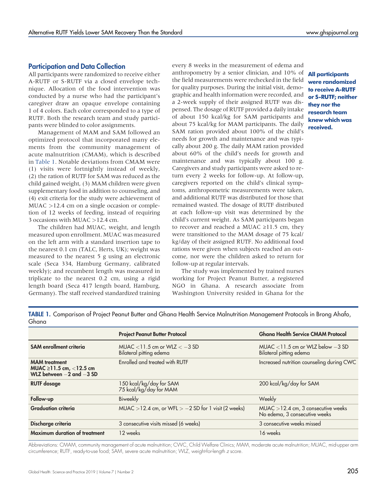## Participation and Data Collection

All participants were randomized to receive either A-RUTF or S-RUTF via a closed envelope technique. Allocation of the food intervention was conducted by a nurse who had the participant's caregiver draw an opaque envelope containing 1 of 4 colors. Each color corresponded to a type of RUTF. Both the research team and study participants were blinded to color assignments.

Management of MAM and SAM followed an optimized protocol that incorporated many elements from the community management of acute malnutrition (CMAM), which is described in [Table 1](#page-2-0). Notable deviations from CMAM were (1) visits were fortnightly instead of weekly, (2) the ration of RUTF for SAM was reduced as the child gained weight, (3) MAM children were given supplementary food in addition to counseling, and (4) exit criteria for the study were achievement of MUAC >12.4 cm on a single occasion or completion of 12 weeks of feeding, instead of requiring 3 occasions with MUAC >12.4 cm.

The children had MUAC, weight, and length measured upon enrollment. MUAC was measured on the left arm with a standard insertion tape to the nearest 0.1 cm (TALC, Herts, UK); weight was measured to the nearest 5 g using an electronic scale (Seca 334, Hamburg Germany, calibrated weekly); and recumbent length was measured in triplicate to the nearest 0.2 cm, using a rigid length board (Seca 417 length board, Hamburg, Germany). The staff received standardized training every 8 weeks in the measurement of edema and anthropometry by a senior clinician, and 10% of the field measurements were rechecked in the field for quality purposes. During the initial visit, demographic and health information were recorded, and a 2-week supply of their assigned RUTF was dispensed. The dosage of RUTF provided a daily intake of about 150 kcal/kg for SAM participants and about 75 kcal/kg for MAM participants. The daily SAM ration provided about 100% of the child's needs for growth and maintenance and was typically about 200 g. The daily MAM ration provided about 60% of the child's needs for growth and maintenance and was typically about 100 g. Caregivers and study participants were asked to return every 2 weeks for follow-up. At follow-up, caregivers reported on the child's clinical symptoms, anthropometric measurements were taken, and additional RUTF was distributed for those that remained wasted. The dosage of RUTF distributed at each follow-up visit was determined by the child's current weight. As SAM participants began to recover and reached a MUAC ≥11.5 cm, they were transitioned to the MAM dosage of 75 kcal/ kg/day of their assigned RUTF. No additional food rations were given when subjects reached an outcome, nor were the children asked to return for follow-up at regular intervals.

The study was implemented by trained nurses working for Project Peanut Butter, a registered NGO in Ghana. A research associate from Washington University resided in Ghana for the

All participants were randomized to receive A-RUTF or S-RUTF; neither they nor the research team knew which was received.

<span id="page-2-0"></span>TABLE 1. Comparison of Project Peanut Butter and Ghana Health Service Malnutrition Management Protocols in Brong Ahafo, Ghana

|                                                                                    | <b>Project Peanut Butter Protocol</b>                        | <b>Ghana Health Service CMAM Protocol</b>                              |
|------------------------------------------------------------------------------------|--------------------------------------------------------------|------------------------------------------------------------------------|
| <b>SAM</b> enrollment criteria                                                     | MUAC $<$ 11.5 cm or WLZ $<$ -3 SD<br>Bilateral pitting edema | MUAC $<$ 11.5 cm or WLZ below $-3$ SD<br>Bilateral pitting edema       |
| <b>MAM</b> treatment<br>MUAC ≥11.5 cm, $<$ 12.5 cm<br>WLZ between $-2$ and $-3$ SD | Enrolled and treated with RUTF                               | Increased nutrition counseling during CWC                              |
| <b>RUTF</b> dosage                                                                 | 150 kcal/kg/day for SAM<br>75 kcal/kg/day for MAM            | 200 kcal/kg/day for SAM                                                |
| Follow-up                                                                          | Biweekly                                                     | Weekly                                                                 |
| <b>Graduation criteria</b>                                                         | MUAC > 12.4 cm, or WFL > $-2$ SD for 1 visit (2 weeks)       | $MUAC > 12.4$ cm, 3 consecutive weeks<br>No edema, 3 consecutive weeks |
| Discharge criteria                                                                 | 3 consecutive visits missed (6 weeks)                        | 3 consecutive weeks missed                                             |
| Maximum duration of treatment                                                      | 12 weeks                                                     | 16 weeks                                                               |

Abbreviations: CMAM, community management of acute malnutrition; CWC, Child Welfare Clinics; MAM, moderate acute malnutrition; MUAC, mid-upper arm circumference; RUTF, ready-to-use food; SAM, severe acute malnutrition; WLZ, weight-for-length z score.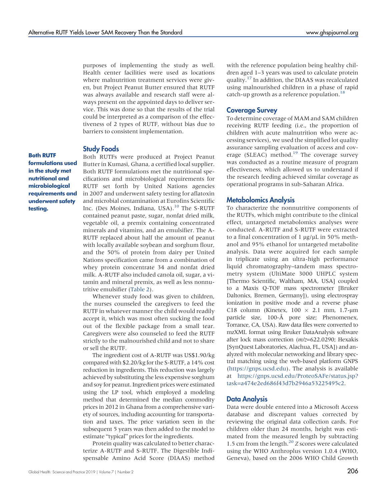purposes of implementing the study as well. Health center facilities were used as locations where malnutrition treatment services were given, but Project Peanut Butter ensured that RUTF was always available and research staff were always present on the appointed days to deliver service. This was done so that the results of the trial could be interpreted as a comparison of the effectiveness of 2 types of RUTF, without bias due to barriers to consistent implementation.

#### Study Foods

Both RUTFs were produced at Project Peanut Butter in Kumasi, Ghana, a certified local supplier. Both RUTF formulations met the nutritional specifications and microbiological requirements for RUTF set forth by United Nations agencies in 2007 and underwent safety testing for aflatoxin and microbial contamination at Eurofins Scientific Inc. (Des Moines, Indiana, USA).<sup>[10](#page-10-9)</sup> The S-RUTF contained peanut paste, sugar, nonfat dried milk, vegetable oil, a premix containing concentrated minerals and vitamins, and an emulsifier. The A-RUTF replaced about half the amount of peanut with locally available soybean and sorghum flour, and the 50% of protein from dairy per United Nations specification came from a combination of whey protein concentrate 34 and nonfat dried milk. A-RUTF also included canola oil, sugar, a vitamin and mineral premix, as well as less nonnutritive emulsifier ([Table 2\)](#page-4-0).

Whenever study food was given to children, the nurses counseled the caregivers to feed the RUTF in whatever manner the child would readily accept it, which was most often sucking the food out of the flexible package from a small tear. Caregivers were also counseled to feed the RUTF strictly to the malnourished child and not to share or sell the RUTF.

The ingredient cost of A-RUTF was US\$1.90/kg compared with \$2.20/kg for the S-RUTF, a 14% cost reduction in ingredients. This reduction was largely achieved by substituting the less expensive sorghum and soy for peanut. Ingredient prices were estimated using the LP tool, which employed a modeling method that determined the median commodity prices in 2012 in Ghana from a comprehensive variety of sources, including accounting for transportation and taxes. The price variation seen in the subsequent 5 years was then added to the model to estimate "typical" prices for the ingredients.

Protein quality was calculated to better characterize A-RUTF and S-RUTF. The Digestible Indispensable Amino Acid Score (DIAAS) method with the reference population being healthy children aged 1–3 years was used to calculate protein quality.[17](#page-10-16) In addition, the DIAAS was recalculated using malnourished children in a phase of rapid catch-up growth as a reference population.<sup>18</sup>

### Coverage Survey

To determine coverage of MAM and SAM children receiving RUTF feeding (i.e., the proportion of children with acute malnutrition who were accessing services), we used the simplified lot quality assurance sampling evaluation of access and coverage (SLEAC) method.<sup>19</sup> The coverage survey was conducted as a routine measure of program effectiveness, which allowed us to understand if the research feeding achieved similar coverage as operational programs in sub-Saharan Africa.

### Metabolomics Analysis

To characterize the nonnutritive components of the RUTFs, which might contribute to the clinical effect, untargeted metabolomics analyses were conducted. A-RUTF and S-RUTF were extracted to a final concentration of 1  $\mu$ g/ $\mu$ L in 50% methanol and 95% ethanol for untargeted metabolite analysis. Data were acquired for each sample in triplicate using an ultra-high performance liquid chromatography–tandem mass spectrometry system (UltiMate 3000 UHPLC system [Thermo Scientific, Waltham, MA, USA] coupled to a Maxis Q-TOF mass spectrometer [Bruker Daltonics, Bremen, Germany]), using electrospray ionization in positive mode and a reverse phase C18 column (Kinetex,  $100 \times 2.1$  mm,  $1.7$ - $\mu$ m particle size, 100-Å pore size; Phenomenex, Torrance, CA, USA). Raw data files were converted to mzXML format using Bruker DataAnalysis software after lock mass correction (m/z=622.0290; Hexakis [SynQuest Laboratories, Alachua, FL, USA]) and analyzed with molecular networking and library spectral matching using the web-based platform GNPS [\(https://gnps.ucsd.edu](https://gnps.ucsd.edu)). The analysis is available at [https://gnps.ucsd.edu/ProteoSAFe/status.jsp?](https://gnps.ucsd.edu/ProteoSAFe/status.jsp?task=a474e2ed686f43d7b2946a53225495c2) [task=a474e2ed686f43d7b2946a53225495c2.](https://gnps.ucsd.edu/ProteoSAFe/status.jsp?task=a474e2ed686f43d7b2946a53225495c2)

### Data Analysis

Data were double entered into a Microsoft Access database and discrepant values corrected by reviewing the original data collection cards. For children older than 24 months, height was estimated from the measured length by subtracting 1.5 cm from the length. $^{20}$  $^{20}$  $^{20}$  Z scores were calculated using the WHO Anthroplus version 1.0.4 (WHO, Geneva), based on the 2006 WHO Child Growth

Both RUTF formulations used in the study met nutritional and microbiological requirements and underwent safety testing.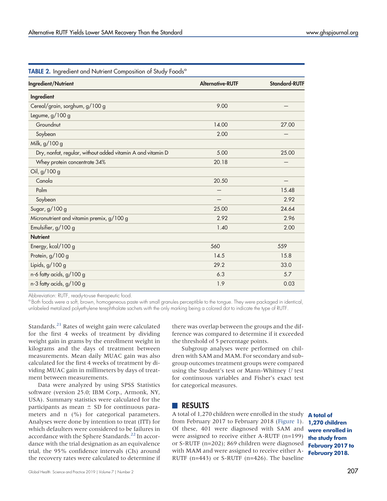| Ingredient/Nutrient                                         | <b>Alternative-RUTF</b> | <b>Standard-RUTF</b> |
|-------------------------------------------------------------|-------------------------|----------------------|
| Ingredient                                                  |                         |                      |
| Cereal/grain, sorghum, g/100 g                              | 9.00                    |                      |
| Legume, g/100 g                                             |                         |                      |
| Groundnut                                                   | 14.00                   | 27.00                |
| Soybean                                                     | 2.00                    |                      |
| Milk, g/100 g                                               |                         |                      |
| Dry, nonfat, regular, without added vitamin A and vitamin D | 5.00                    | 25.00                |
| Whey protein concentrate 34%                                | 20.18                   |                      |
| Oil, g/100 g                                                |                         |                      |
| Canola                                                      | 20.50                   |                      |
| Palm                                                        |                         | 15.48                |
| Soybean                                                     |                         | 2.92                 |
| Sugar, g/100 g                                              | 25.00                   | 24.64                |
| Micronutrient and vitamin premix, g/100 g                   | 2.92                    | 2.96                 |
| Emulsifier, g/100 g                                         | 1.40                    | 2.00                 |
| <b>Nutrient</b>                                             |                         |                      |
| Energy, kcal/100 g                                          | 560                     | 559                  |
| Protein, g/100 g                                            | 14.5                    | 15.8                 |
| Lipids, g/100 g                                             | 29.2                    | 33.0                 |
| n-6 fatty acids, g/100 g                                    | 6.3                     | 5.7                  |
| n-3 fatty acids, g/100 g                                    | 1.9                     | 0.03                 |
|                                                             |                         |                      |

<span id="page-4-0"></span>TABLE 2. Ingredient and Nutrient Composition of Study Foods<sup>a</sup>

Abbreviation: RUTF, ready-to-use therapeutic food.

<sup>a</sup> Both foods were a soft, brown, homogeneous paste with small granules perceptible to the tongue. They were packaged in identical, unlabeled metalized polyethylene terephthalate sachets with the only marking being a colored dot to indicate the type of RUTF.

Standards.<sup>[21](#page-11-3)</sup> Rates of weight gain were calculated for the first 4 weeks of treatment by dividing weight gain in grams by the enrollment weight in kilograms and the days of treatment between measurements. Mean daily MUAC gain was also calculated for the first 4 weeks of treatment by dividing MUAC gain in millimeters by days of treatment between measurements.

Data were analyzed by using SPSS Statistics software (version 25.0; IBM Corp., Armonk, NY, USA). Summary statistics were calculated for the participants as mean  $\pm$  SD for continuous parameters and n (%) for categorical parameters. Analyses were done by intention to treat (ITT) for which defaulters were considered to be failures in accordance with the Sphere Standards.<sup>[22](#page-11-4)</sup> In accordance with the trial designation as an equivalence trial, the 95% confidence intervals (CIs) around the recovery rates were calculated to determine if there was overlap between the groups and the difference was compared to determine if it exceeded the threshold of 5 percentage points.

Subgroup analyses were performed on children with SAM and MAM. For secondary and subgroup outcomes treatment groups were compared using the Student's test or Mann-Whitney U test for continuous variables and Fisher's exact test for categorical measures.

## **RESULTS**

A total of 1,270 children were enrolled in the study **A total of** from February 2017 to February 2018 ([Figure 1](#page-5-0)). 1,270 children Of these, 401 were diagnosed with SAM and were assigned to receive either A-RUTF (n=199) or S-RUTF (n=202); 869 children were diagnosed with MAM and were assigned to receive either A-RUTF (n=443) or S-RUTF (n=426). The baseline

were enrolled in the study from February 2017 to February 2018.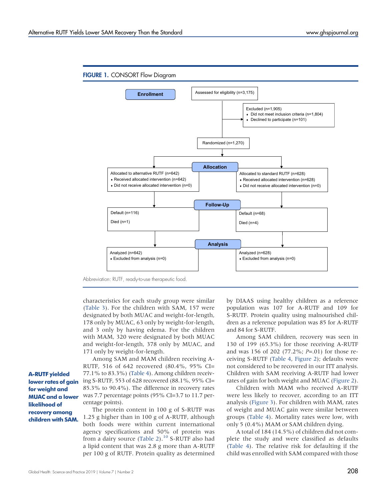<span id="page-5-0"></span>

Abbreviation: RUTF, ready-to-use therapeutic food.

characteristics for each study group were similar [\(Table 3](#page-6-0)). For the children with SAM, 157 were designated by both MUAC and weight-for-length, 178 only by MUAC, 63 only by weight-for-length, and 3 only by having edema. For the children with MAM, 320 were designated by both MUAC and weight-for-length, 378 only by MUAC, and 171 only by weight-for-length.

A-RUTF yielded lower rates of gain for weight and MUAC and a lower likelihood of recovery among children with SAM.

Among SAM and MAM children receiving A-RUTF, 516 of 642 recovered (80.4%, 95% CI= 77.1% to 83.3%) [\(Table 4\)](#page-7-0). Among children receiving S-RUTF, 553 of 628 recovered (88.1%, 95% CI= 85.3% to 90.4%). The difference in recovery rates was 7.7 percentage points (95% CI=3.7 to 11.7 percentage points).

The protein content in 100 g of S-RUTF was 1.25 g higher than in 100 g of A-RUTF, although both foods were within current international agency specifications and 50% of protein was from a dairy source ([Table 2\)](#page-4-0).<sup>[10](#page-10-9)</sup> S-RUTF also had a lipid content that was 2.8 g more than A-RUTF per 100 g of RUTF. Protein quality as determined by DIAAS using healthy children as a reference population was 107 for A-RUTF and 109 for S-RUTF. Protein quality using malnourished children as a reference population was 85 for A-RUTF and 84 for S-RUTF.

Among SAM children, recovery was seen in 130 of 199 (65.3%) for those receiving A-RUTF and was 156 of 202 (77.2%; P=.01) for those receiving S-RUTF [\(Table 4,](#page-7-0) [Figure 2](#page-8-0)); defaults were not considered to be recovered in our ITT analysis. Children with SAM receiving A-RUTF had lower rates of gain for both weight and MUAC [\(Figure 2\)](#page-8-0).

Children with MAM who received A-RUTF were less likely to recover, according to an ITT analysis ([Figure 3\)](#page-8-0). For children with MAM, rates of weight and MUAC gain were similar between groups [\(Table 4\)](#page-7-0). Mortality rates were low, with only 5 (0.4%) MAM or SAM children dying.

A total of 184 (14.5%) of children did not complete the study and were classified as defaults [\(Table 4](#page-7-0)). The relative risk for defaulting if the child was enrolled with SAM compared with those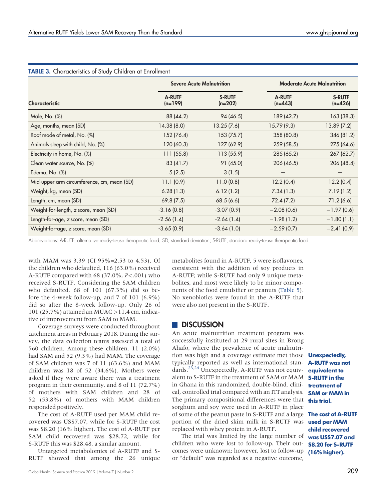|                                            | <b>Severe Acute Malnutrition</b> |                            | <b>Moderate Acute Malnutrition</b> |                            |
|--------------------------------------------|----------------------------------|----------------------------|------------------------------------|----------------------------|
| <b>Characteristic</b>                      | <b>A-RUTF</b><br>$(n=199)$       | <b>S-RUTF</b><br>$(n=202)$ | <b>A-RUTF</b><br>$(n=443)$         | <b>S-RUTF</b><br>$(n=426)$ |
| Male, No. (%)                              | 88 (44.2)                        | 94 (46.5)                  | 189 (42.7)                         | 163 (38.3)                 |
| Age, months, mean (SD)                     | 14.38(8.0)                       | 13.25(7.6)                 | 15.79 (9.3)                        | 13.89(7.2)                 |
| Roof made of metal, No. (%)                | 152 (76.4)                       | 153 (75.7)                 | 358 (80.8)                         | 346 (81.2)                 |
| Animals sleep with child, No. (%)          | 120 (60.3)                       | 127 (62.9)                 | 259(58.5)                          | 275 (64.6)                 |
| Electricity in home, No. (%)               | 111 (55.8)                       | 113 (55.9)                 | 285 (65.2)                         | 267 (62.7)                 |
| Clean water source, No. (%)                | 83 (41.7)                        | 91(45.0)                   | 206(46.5)                          | 206 (48.4)                 |
| Edema, No. (%)                             | 5(2.5)                           | 3(1.5)                     |                                    |                            |
| Mid-upper arm circumference, cm, mean (SD) | 11.1(0.9)                        | 11.0(0.8)                  | 12.2(0.4)                          | 12.2(0.4)                  |
| Weight, kg, mean (SD)                      | 6.28(1.3)                        | 6.12(1.2)                  | 7.34(1.3)                          | 7.19(1.2)                  |
| Length, cm, mean (SD)                      | 69.8(7.5)                        | 68.5(6.6)                  | 72.4(7.2)                          | 71.2(6.6)                  |
| Weight-for-length, z score, mean (SD)      | $-3.16(0.8)$                     | $-3.07(0.9)$               | $-2.08(0.6)$                       | $-1.97(0.6)$               |
| Length-for-age, z score, mean (SD)         | $-2.56(1.4)$                     | $-2.64(1.4)$               | $-1.98(1.2)$                       | $-1.80(1.1)$               |
| Weight-for-age, z score, mean (SD)         | $-3.65(0.9)$                     | $-3.64(1.0)$               | $-2.59(0.7)$                       | $-2.41(0.9)$               |

<span id="page-6-0"></span>

Abbreviations: A-RUTF, alternative ready-to-use therapeutic food; SD, standard deviation; S-RUTF, standard ready-to-use therapeutic food.

with MAM was 3.39 (CI 95%=2.53 to 4.53). Of the children who defaulted, 116 (63.0%) received A-RUTF compared with 68 (37.0%, P<.001) who received S-RUTF. Considering the SAM children who defaulted, 68 of 101 (67.3%) did so before the 4-week follow-up, and 7 of 101 (6.9%) did so after the 8-week follow-up. Only 26 of 101 (25.7%) attained an MUAC >11.4 cm, indicative of improvement from SAM to MAM.

Coverage surveys were conducted throughout catchment areas in February 2018. During the survey, the data collection teams assessed a total of 560 children. Among these children, 11 (2.0%) had SAM and 52 (9.3%) had MAM. The coverage of SAM children was 7 of 11 (63.6%) and MAM children was 18 of 52 (34.6%). Mothers were asked if they were aware there was a treatment program in their community, and 8 of 11 (72.7%) of mothers with SAM children and 28 of 52 (53.8%) of mothers with MAM children responded positively.

The cost of A-RUTF used per MAM child recovered was US\$7.07, while for S-RUTF the cost was \$8.20 (16% higher). The cost of A-RUTF per SAM child recovered was \$28.72, while for S-RUTF this was \$28.48, a similar amount.

Untargeted metabolomics of A-RUTF and S-RUTF showed that among the 26 unique

Global Health: Science and Practice 2019 | Volume 7 | Number 2  $209$ 

metabolites found in A-RUTF, 5 were isoflavones, consistent with the addition of soy products in A-RUTF; while S-RUTF had only 9 unique metabolites, and most were likely to be minor components of the food emulsifier or peanuts ([Table 5](#page-9-0)). No xenobiotics were found in the A-RUTF that were also not present in the S-RUTF.

## **DISCUSSION**

An acute malnutrition treatment program was successfully instituted at 29 rural sites in Brong Ahafo, where the prevalence of acute malnutrition was high and a coverage estimate met those **Unexpectedly,** typically reported as well as international standards.[23](#page-11-5)[,24](#page-11-6) Unexpectedly, A-RUTF was not equivalent to S-RUTF in the treatment of SAM or MAM in Ghana in this randomized, double-blind, clinical, controlled trial compared with an ITT analysis. The primary compositional differences were that sorghum and soy were used in A-RUTF in place of some of the peanut paste in S-RUTF and a large portion of the dried skim milk in S-RUTF was **used per MAM** replaced with whey protein in A-RUTF.

The trial was limited by the large number of was US\$7.07 and children who were lost to follow-up. Their outcomes were unknown; however, lost to follow-up (16% higher). or "default" was regarded as a negative outcome,

A-RUTF was not equivalent to S-RUTF in the treatment of SAM or MAM in this trial.

The cost of A-RUTF child recovered \$8.20 for S-RUTF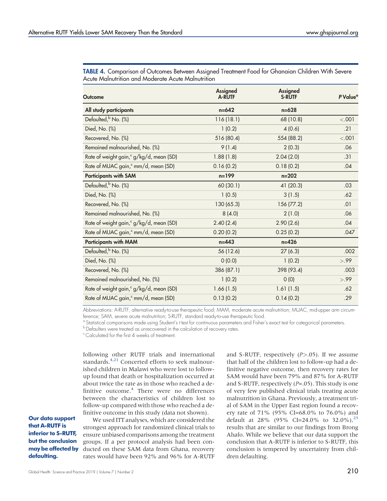<span id="page-7-0"></span>TABLE 4. Comparison of Outcomes Between Assigned Treatment Food for Ghanaian Children With Severe Acute Malnutrition and Moderate Acute Malnutrition

| <b>Outcome</b>                                      | <b>Assigned</b><br><b>A-RUTF</b> | Assigned<br><b>S-RUTF</b> | P Value <sup>a</sup> |
|-----------------------------------------------------|----------------------------------|---------------------------|----------------------|
| All study participants                              | $n = 642$                        | $n = 628$                 |                      |
| Defaulted, No. (%)                                  | 116(18.1)                        | 68 (10.8)                 | < .001               |
| Died, No. (%)                                       | 1(0.2)                           | 4(0.6)                    | .21                  |
| Recovered, No. (%)                                  | 516 (80.4)                       | 554 (88.2)                | < .001               |
| Remained malnourished, No. (%)                      | 9(1.4)                           | 2(0.3)                    | .06                  |
| Rate of weight gain, <sup>c</sup> g/kg/d, mean (SD) | 1.88(1.8)                        | 2.04(2.0)                 | .31                  |
| Rate of MUAC gain, <sup>c</sup> mm/d, mean (SD)     | 0.16(0.2)                        | 0.18(0.2)                 | .04                  |
| <b>Participants with SAM</b>                        | $n = 199$                        | $n = 202$                 |                      |
| Defaulted, No. (%)                                  | 60 (30.1)                        | 41 (20.3)                 | .03                  |
| Died, No. (%)                                       | 1(0.5)                           | 3(1.5)                    | .62                  |
| Recovered, No. (%)                                  | 130 (65.3)                       | 156 (77.2)                | .01                  |
| Remained malnourished, No. (%)                      | 8(4.0)                           | 2(1.0)                    | .06                  |
| Rate of weight gain, <sup>c</sup> g/kg/d, mean (SD) | 2.40(2.4)                        | 2.90(2.6)                 | .04                  |
| Rate of MUAC gain, <sup>c</sup> mm/d, mean (SD)     | 0.20(0.2)                        | 0.25(0.2)                 | .047                 |
| <b>Participants with MAM</b>                        | $n = 443$                        | $n = 426$                 |                      |
| Defaulted, No. (%)                                  | 56 (12.6)                        | 27(6.3)                   | .002                 |
| Died, No. (%)                                       | 0(0.0)                           | 1(0.2)                    | > .99                |
| Recovered, No. (%)                                  | 386 (87.1)                       | 398 (93.4)                | .003                 |
| Remained malnourished, No. (%)                      | 1(0.2)                           | 0(0)                      | > .99                |
| Rate of weight gain, <sup>c</sup> g/kg/d, mean (SD) | 1.66(1.5)                        | 1.61(1.5)                 | .62                  |
| Rate of MUAC gain, <sup>c</sup> mm/d, mean (SD)     | 0.13(0.2)                        | 0.14(0.2)                 | .29                  |

Abbreviations: A-RUTF, alternative ready-to-use therapeutic food; MAM, moderate acute malnutrition; MUAC, mid-upper arm circumference; SAM, severe acute malnutrition; S-RUTF, standard ready-to-use therapeutic food.

 $\degree$  Statistical comparisons made using Student's t test for continuous parameters and Fisher's exact test for categorical parameters.<br> $\degree$  Defaulters were treated as unrecovered in the calculation of recovery rates.

<sup>c</sup> Calculated for the first 4 weeks of treatment.

following other RUTF trials and international standards.<sup>4,[21](#page-11-3)</sup> Concerted efforts to seek malnourished children in Malawi who were lost to followup found that death or hospitalization occurred at about twice the rate as in those who reached a definitive outcome[.4](#page-10-3) There were no differences between the characteristics of children lost to follow-up compared with those who reached a definitive outcome in this study (data not shown).

Our data support that A-RUTF is inferior to S-RUTF, but the conclusion may be affected by defaulting.

We used ITT analyses, which are considered the strongest approach for randomized clinical trials to ensure unbiased comparisons among the treatment groups. If a per protocol analysis had been conducted on these SAM data from Ghana, recovery rates would have been 92% and 96% for A-RUTF and S-RUTF, respectively  $(P > .05)$ . If we assume that half of the children lost to follow-up had a definitive negative outcome, then recovery rates for SAM would have been 79% and 87% for A-RUTF and S-RUTF, respectively  $(P=.05)$ . This study is one of very few published clinical trials treating acute malnutrition in Ghana. Previously, a treatment trial of SAM in the Upper East region found a recovery rate of 71% (95% CI=68.0% to 76.0%) and default at 28% (95% CI=24.0% to 32.0%),<sup>25</sup> results that are similar to our findings from Brong Ahafo. While we believe that our data support the conclusion that A-RUTF is inferior to S-RUTF, this conclusion is tempered by uncertainty from children defaulting.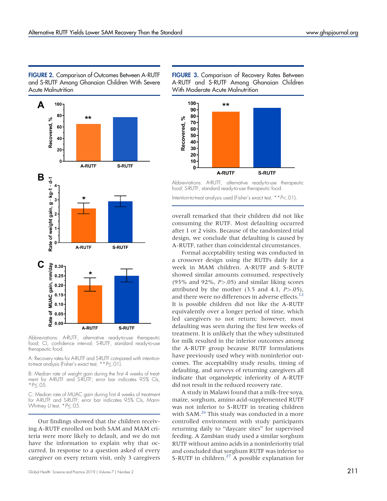<span id="page-8-0"></span>FIGURE 2. Comparison of Outcomes Between A-RUTF and S-RUTF Among Ghanaian Children With Severe Acute Malnutrition



Abbreviations: A-RUTF, alternative ready-to-use therapeutic food; CI, confidence interval; S-RUTF, standard ready-to-use therapeutic food.

A: Recovery rates for A-RUTF and S-RUTF compared with intentionto-treat analysis (Fisher's exact test,  $*P<.01$ ).

B: Median rate of weight gain during the first 4 weeks of treatment for A-RUTF and S-RUTF; error bar indicates 95% CIs,  $*P<.05$ .

C: Median rate of MUAC gain during first 4 weeks of treatment for A-RUTF and S-RUTF; error bar indicates 95% CIs, Mann-Whitney U test,  $*P\leq .05$ .

Our findings showed that the children receiving A-RUTF enrolled on both SAM and MAM criteria were more likely to default, and we do not have the information to explain why that occurred. In response to a question asked of every caregiver on every return visit, only 3 caregivers

Global Health: Science and Practice 2019 | Volume 7 | Number 2  $211$ 

FIGURE 3. Comparison of Recovery Rates Between A-RUTF and S-RUTF Among Ghanaian Children With Moderate Acute Malnutrition



Abbreviations: A-RUTF, alternative ready-to-use therapeutic food; S-RUTF, standard ready-to-use therapeutic food.

Intention-to-treat analysis used (Fisher's exact test, \*\*P<.01).

overall remarked that their children did not like consuming the RUTF. Most defaulting occurred after 1 or 2 visits. Because of the randomized trial design, we conclude that defaulting is caused by A-RUTF, rather than coincidental circumstances.

Formal acceptability testing was conducted in a crossover design using the RUTFs daily for a week in MAM children. A-RUTF and S-RUTF showed similar amounts consumed, respectively (93% and 92%,  $P > .05$ ) and similar liking scores attributed by the mother  $(3.5 \text{ and } 4.1, P > .05)$ , and there were no differences in adverse effects.<sup>[12](#page-10-11)</sup> It is possible children did not like the A-RUTF equivalently over a longer period of time, which led caregivers to not return; however, most defaulting was seen during the first few weeks of treatment. It is unlikely that the whey substituted for milk resulted in the inferior outcomes among the A-RUTF group because RUTF formulations have previously used whey with noninferior outcomes. The acceptability study results, timing of defaulting, and surveys of returning caregivers all indicate that organoleptic inferiority of A-RUTF did not result in the reduced recovery rate.

A study in Malawi found that a milk-free soya, maize, sorghum, amino acid-supplemented RUTF was not inferior to S-RUTF in treating children with SAM.<sup>[26](#page-11-8)</sup> This study was conducted in a more controlled environment with study participants returning daily to "daycare sites" for supervised feeding. A Zambian study used a similar sorghum RUTF without amino acids in a noninferiority trial and concluded that sorghum RUTF was inferior to S-RUTF in children. $27$  A possible explanation for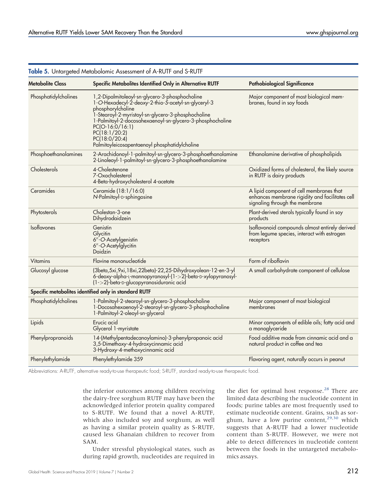| <b>Iable 3.</b> Untargeted Metabolomic Assessment of A-RUIF and S-RUIF |                                                                                                                                                                                                                                                                                                                                                       |                                                                                                                               |  |
|------------------------------------------------------------------------|-------------------------------------------------------------------------------------------------------------------------------------------------------------------------------------------------------------------------------------------------------------------------------------------------------------------------------------------------------|-------------------------------------------------------------------------------------------------------------------------------|--|
| <b>Metabolite Class</b>                                                | Specific Metabolites Identified Only in Alternative RUTF                                                                                                                                                                                                                                                                                              | <b>Pathobiological Significance</b>                                                                                           |  |
| Phosphatidylcholines                                                   | 1,2-Dipalmitoleoyl-sn-glycero-3-phosphocholine<br>1-O-Hexadecyl-2-deoxy-2-thio-S-acetyl-sn-glyceryl-3<br>phosphorylcholine<br>1-Stearoyl-2-myristoyl-sn-glycero-3-phosphocholine<br>1-Palmitoyl-2-docosahexaenoyl-sn-glycero-3-phosphocholine<br>$PC(O-16:0/16:1)$<br>PC(18:1/20:2)<br>PC(18:0/20:4)<br>Palmitoyleicosapentaenoyl phosphatidylcholine | Major component of most biological mem-<br>branes, found in soy foods                                                         |  |
| Phosphoethanolamines                                                   | 2-Arachidonoyl-1-palmitoyl-sn-glycero-3-phosphoethanolamine<br>2-Linoleoyl-1-palmitoyl-sn-glycero-3-phosphoethanolamine                                                                                                                                                                                                                               | Ethanolamine derivative of phospholipids                                                                                      |  |
| Cholesterols                                                           | 4-Cholestenone<br>7-Oxocholesterol<br>4-Beta-hydroxycholesterol 4-acetate                                                                                                                                                                                                                                                                             | Oxidized forms of cholesterol, the likely source<br>in RUTF is dairy products                                                 |  |
| Ceramides                                                              | Ceramide (18:1/16:0)<br>N-Palmitoyl-D-sphingosine                                                                                                                                                                                                                                                                                                     | A lipid component of cell membranes that<br>enhances membrane rigidity and facilitates cell<br>signaling through the membrane |  |
| Phytosterols                                                           | Cholestan-3-one<br>Dihydrodaidzein                                                                                                                                                                                                                                                                                                                    | Plant-derived sterols typically found in soy<br>products                                                                      |  |
| Isoflavones                                                            | Genistin<br>Glycitin<br>6"-O-Acetylgenistin<br>6"-O-Acetylglycitin<br>Daidzin                                                                                                                                                                                                                                                                         | Isoflavonoid compounds almost entirely derived<br>from legume species, interact with estrogen<br>receptors                    |  |
| <b>Vitamins</b>                                                        | Flavine mononucleotide                                                                                                                                                                                                                                                                                                                                | Form of riboflavin                                                                                                            |  |
| Glucosyl glucose                                                       | (3beta, 5xi, 9xi, 18xi, 22beta)-22, 25-Dihydroxyolean-12-en-3-yl<br>6-deoxy-alpha-L-mannopyranosyl-(1->2)-beta-D-xylopyranosyl-<br>(1->2)-beta-D-glucopyranosiduronic acid                                                                                                                                                                            | A small carbohydrate component of cellulose                                                                                   |  |
|                                                                        | Specific metabolites identified only in standard RUTF                                                                                                                                                                                                                                                                                                 |                                                                                                                               |  |
| Phosphatidylcholines                                                   | 1-Palmitoyl-2-stearoyl-sn-glycero-3-phosphocholine<br>1-Docosahexaenoyl-2-stearoyl-sn-glycero-3-phosphocholine<br>1-Palmitoyl-2-oleoyl-sn-glycerol                                                                                                                                                                                                    | Major component of most biological<br>membranes                                                                               |  |
| Lipids                                                                 | Erucic acid<br>Glycerol 1-myristate                                                                                                                                                                                                                                                                                                                   | Minor components of edible oils; fatty acid and<br>a monoglyceride                                                            |  |
| Phenylpropranoids                                                      | 14-(Methylpentadecanoylamino)-3-phenylpropanoic acid<br>3,5-Dimethoxy-4-hydroxycinnamic acid<br>3-Hydroxy-4-methoxycinnamic acid                                                                                                                                                                                                                      | Food additive made from cinnamic acid and a<br>natural product in coffee and tea                                              |  |
| Phenylethylamide                                                       | Phenylethylamide 359                                                                                                                                                                                                                                                                                                                                  | Flavoring agent, naturally occurs in peanut                                                                                   |  |

<span id="page-9-0"></span>Table 5. Untargeted Metabolomic Assessment of A-RUTF and S-RUTF

Abbreviations: A-RUTF, alternative ready-to-use therapeutic food; S-RUTF, standard ready-to-use therapeutic food.

the inferior outcomes among children receiving the dairy-free sorghum RUTF may have been the acknowledged inferior protein quality compared to S-RUTF. We found that a novel A-RUTF, which also included soy and sorghum, as well as having a similar protein quality as S-RUTF, caused less Ghanaian children to recover from SAM.

Under stressful physiological states, such as during rapid growth, nucleotides are required in

the diet for optimal host response.<sup>[28](#page-11-10)</sup> There are limited data describing the nucleotide content in foods; purine tables are most frequently used to estimate nucleotide content. Grains, such as sorghum, have a low purine content,  $2^{9,30}$  $2^{9,30}$  $2^{9,30}$  which suggests that A-RUTF had a lower nucleotide content than S-RUTF. However, we were not able to detect differences in nucleotide content between the foods in the untargeted metabolomics assays.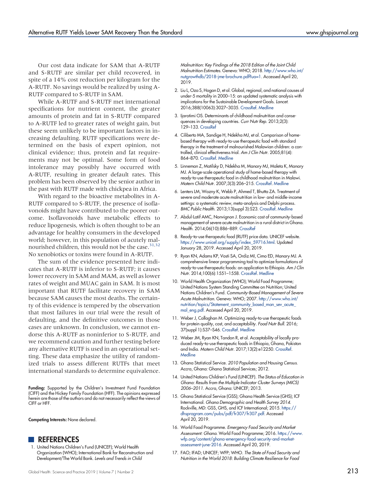Our cost data indicate for SAM that A-RUTF and S-RUTF are similar per child recovered, in spite of a 14% cost reduction per kilogram for the A-RUTF. No savings would be realized by using A-RUTF compared to S-RUTF in SAM.

While A-RUTF and S-RUTF met international specifications for nutrient content, the greater amounts of protein and fat in S-RUTF compared to A-RUTF led to greater rates of weight gain, but these seem unlikely to be important factors in increasing defaulting. RUTF specifications were determined on the basis of expert opinion, not clinical evidence; thus, protein and fat requirements may not be optimal. Some form of food intolerance may possibly have occurred with A-RUTF, resulting in greater default rates. This problem has been observed by the senior author in the past with RUTF made with chickpea in Africa.

With regard to the bioactive metabolites in A-RUTF compared to S-RUTF, the presence of isoflavonoids might have contributed to the poorer outcome. Isoflavonoids have metabolic effects to reduce lipogenesis, which is often thought to be an advantage for healthy consumers in the developed world; however, in this population of acutely mal-nourished children, this would not be the case.<sup>31,[32](#page-11-14)</sup> No xenobiotics or toxins were found in A-RUTF.

The sum of the evidence presented here indicates that A-RUTF is inferior to S-RUTF; it causes lower recovery in SAM and MAM, as well as lower rates of weight and MUAC gain in SAM. It is most important that RUTF facilitate recovery in SAM because SAM causes the most deaths. The certainty of this evidence is tempered by the observation that most failures in our trial were the result of defaulting, and the definitive outcomes in those cases are unknown. In conclusion, we cannot endorse this A-RUTF as noninferior to S-RUTF, and we recommend caution and further testing before any alternative RUTF is used in an operational setting. These data emphasize the utility of randomized trials to assess different RUTFs that meet international standards to determine equivalence.

Funding: Supported by the Children's Investment Fund Foundation (CIFF) and the Hickey Family Foundation (HFF). The opinions expressed herein are those of the authors and do not necessarily reflect the views of CIFF or HFF.

Competing Interests: None declared.

#### **REFERENCES**

<span id="page-10-0"></span>1. United Nations Children's Fund (UNICEF); World Health Organization (WHO); International Bank for Reconstruction and Development/The World Bank. Levels and Trends in Child

Malnutrition: Key Findings of the 2018 Edition of the Joint Child Malnutrition Estimates. Geneva: WHO; 2018. [http://www.who.int/](http://www.who.int/nutgrowthdb/2018-jme-brochure.pdf?ua=1) [nutgrowthdb/2018-jme-brochure.pdf?ua=1](http://www.who.int/nutgrowthdb/2018-jme-brochure.pdf?ua=1). Accessed April 20, 2019.

- <span id="page-10-1"></span>2. Liu L, Oza S, Hogan D, et al. Global, regional, and national causes of under-5 mortality in 2000–15: an updated systematic analysis with implications for the Sustainable Development Goals. Lancet. 2016;388(10063):3027–3035. [CrossRef.](https://doi.org/10.1016/S0140-6736(16)31593-8) [Medline](http://www.ncbi.nlm.nih.gov/pubmed/27839855)
- <span id="page-10-2"></span>3. Ijarotimi OS. Determinants of childhood malnutrition and consequences in developing countries. Curr Nutr Rep. 2013;2(3): 129–133. [CrossRef](https://doi.org/10.1007/s13668-013-0051-5)
- <span id="page-10-3"></span>4. Ciliberto MA, Sandige H, Ndekha MJ, et al. Comparison of homebased therapy with ready-to-use therapeutic food with standard therapy in the treatment of malnourished Malawian children: a controlled, clinical effectiveness trial. Am J Clin Nutr. 2005;81(4): 864–870. [CrossRef.](https://doi.org/10.1093/ajcn/81.4.864) [Medline](http://www.ncbi.nlm.nih.gov/pubmed/15817865)
- <span id="page-10-4"></span>5. Linneman Z, Matilsky D, Ndekha M, Manary MJ, Maleta K, Manary MJ. A large-scale operational study of home-based therapy with ready-to-use therapeutic food in childhood malnutrition in Malawi. Matern Child Nutr. 2007;3(3):206–215. [CrossRef.](https://doi.org/10.1111/j.1740-8709.2007.00095.x) [Medline](http://www.ncbi.nlm.nih.gov/pubmed/17539889)
- <span id="page-10-5"></span>6. Lenters LM, Wazny K, Webb P, Ahmed T, Bhutta ZA. Treatment of severe and moderate acute malnutrition in low- and middle-income settings: a systematic review, meta-analysis and Delphi process. BMC Public Health. 2013;13(suppl 3):S23. [CrossRef.](https://doi.org/10.1186/1471-2458-13-S3-S23) [Medline](http://www.ncbi.nlm.nih.gov/pubmed/24564235)
- <span id="page-10-6"></span>7. Abdul-Latif AMC, Nonvignon J. Economic cost of community-based management of severe acute malnutrition in a rural district in Ghana. Health. 2014;06(10):886–889. [CrossRef](https://doi.org/10.4236/health.2014.610112)
- <span id="page-10-7"></span>8. Ready-to-use therapeutic food (RUTF) price data. UNICEF website. [https://www.unicef.org/supply/index\\_59716.html](https://www.unicef.org/supply/index_59716.html). Updated January 28, 2019. Accessed April 20, 2019.
- <span id="page-10-8"></span>9. Ryan KN, Adams KP, Vosti SA, Ordiz MI, Cimo ED, Manary MJ. A comprehensive linear programming tool to optimize formulations of ready-to-use therapeutic foods: an application to Ethiopia. Am J Clin Nutr. 2014;100(6):1551–1558. [CrossRef](https://doi.org/10.3945/ajcn.114.090670). [Medline](http://www.ncbi.nlm.nih.gov/pubmed/25411290)
- <span id="page-10-9"></span>10. World Health Organization (WHO); World Food Programme; United Nations System Standing Committee on Nutrition; United Nations Children's Fund. Community-Based Management of Severe Acute Malnutrition. Geneva: WHO; 2007. [http://www.who.int/](http://www.who.int/nutrition/topics/Statement_community_based_man_sev_acute_mal_eng.pdf) [nutrition/topics/Statement\\_community\\_based\\_man\\_sev\\_acute\\_](http://www.who.int/nutrition/topics/Statement_community_based_man_sev_acute_mal_eng.pdf) [mal\\_eng.pdf](http://www.who.int/nutrition/topics/Statement_community_based_man_sev_acute_mal_eng.pdf). Accessed April 20, 2019.
- <span id="page-10-10"></span>11. Weber J, Callaghan M. Optimizing ready-to-use therapeutic foods for protein quality, cost, and acceptability. Food Nutr Bull. 2016; 37(suppl 1):S37–S46. [CrossRef](https://doi.org/10.1177/0379572116629257). [Medline](http://www.ncbi.nlm.nih.gov/pubmed/26864957)
- <span id="page-10-11"></span>12. Weber JM, Ryan KN, Tandon R, et al. Acceptability of locally produced ready-to-use therapeutic foods in Ethiopia, Ghana, Pakistan and India. Matern Child Nutr. 2017;13(2):e12250. [CrossRef.](https://doi.org/10.1111/mcn.12250) **[Medline](http://www.ncbi.nlm.nih.gov/pubmed/26776270)**
- <span id="page-10-12"></span>13. Ghana Statistical Service. 2010 Population and Housing Census. Accra, Ghana: Ghana Statistical Services; 2012.
- <span id="page-10-13"></span>14. United Nations Children's Fund (UNICEF). The Status of Education in Ghana: Results from the Multiple Indicator Cluster Surveys (MICS) 2006–2011. Accra, Ghana: UNICEF; 2013.
- <span id="page-10-14"></span>15. Ghana Statistical Service (GSS); Ghana Health Service (GHS); ICF International. Ghana Demographic and Health Survey 2014. Rockville, MD: GSS, GHS, and ICF International; 2015. [https://](https://dhsprogram.com/pubs/pdf/fr307/fr307.pdf) [dhsprogram.com/pubs/pdf/fr307/fr307.pdf](https://dhsprogram.com/pubs/pdf/fr307/fr307.pdf). Accessed April 20, 2019.
- <span id="page-10-15"></span>16. World Food Programme. Emergency Food Security and Market Assessment: Ghana. World Food Programme; 2016. [https://www.](https://www.wfp.org/content/ghana-emergency-food-security-and-market-assessment-june-2016) [wfp.org/content/ghana-emergency-food-security-and-market](https://www.wfp.org/content/ghana-emergency-food-security-and-market-assessment-june-2016)[assessment-june-2016](https://www.wfp.org/content/ghana-emergency-food-security-and-market-assessment-june-2016). Accessed April 20, 2019.
- <span id="page-10-16"></span>17. FAO; IFAD; UNICEF; WFP; WHO. The State of Food Security and Nutrition in the World 2018: Building Climate Resilience for Food